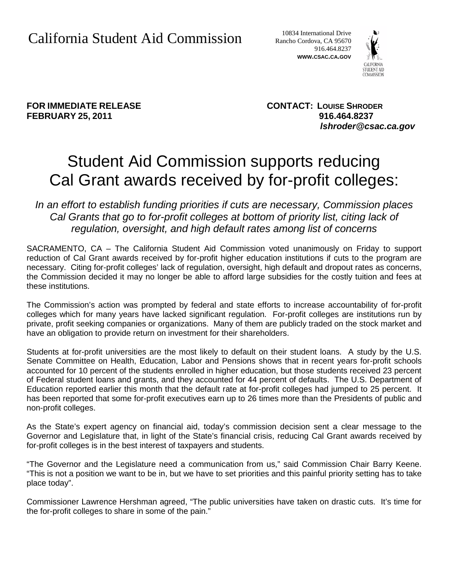10834 International Drive Rancho Cordova, CA 95670 916.464.8237 **WWW.CSAC.CA.GOV**



**FEBRUARY 25, 2011 916.464.8237**

**FOR IMMEDIATE RELEASE CONTACT: LOUISE SHRODER** *lshroder@csac.ca.gov*

## Student Aid Commission supports reducing Cal Grant awards received by for-profit colleges:

*In an effort to establish funding priorities if cuts are necessary, Commission places Cal Grants that go to for-profit colleges at bottom of priority list, citing lack of regulation, oversight, and high default rates among list of concerns*

SACRAMENTO, CA – The California Student Aid Commission voted unanimously on Friday to support reduction of Cal Grant awards received by for-profit higher education institutions if cuts to the program are necessary. Citing for-profit colleges' lack of regulation, oversight, high default and dropout rates as concerns, the Commission decided it may no longer be able to afford large subsidies for the costly tuition and fees at these institutions.

The Commission's action was prompted by federal and state efforts to increase accountability of for-profit colleges which for many years have lacked significant regulation. For-profit colleges are institutions run by private, profit seeking companies or organizations. Many of them are publicly traded on the stock market and have an obligation to provide return on investment for their shareholders.

Students at for-profit universities are the most likely to default on their student loans. A study by the U.S. Senate Committee on Health, Education, Labor and Pensions shows that in recent years for-profit schools accounted for 10 percent of the students enrolled in higher education, but those students received 23 percent of Federal student loans and grants, and they accounted for 44 percent of defaults. The U.S. Department of Education reported earlier this month that the default rate at for-profit colleges had jumped to 25 percent. It has been reported that some for-profit executives earn up to 26 times more than the Presidents of public and non-profit colleges.

As the State's expert agency on financial aid, today's commission decision sent a clear message to the Governor and Legislature that, in light of the State's financial crisis, reducing Cal Grant awards received by for-profit colleges is in the best interest of taxpayers and students.

"The Governor and the Legislature need a communication from us," said Commission Chair Barry Keene. "This is not a position we want to be in, but we have to set priorities and this painful priority setting has to take place today".

Commissioner Lawrence Hershman agreed, "The public universities have taken on drastic cuts. It's time for the for-profit colleges to share in some of the pain."